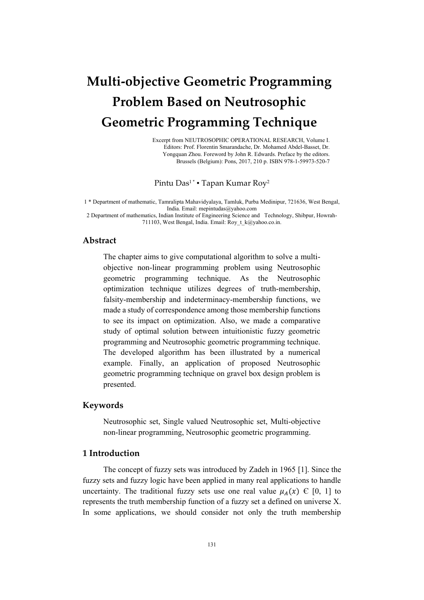# **Multi-objective Geometric Programming Problem Based on Neutrosophic Geometric Programming Technique**

Excerpt from NEUTROSOPHIC OPERATIONAL RESEARCH, Volume I. Editors: Prof. Florentin Smarandache, Dr. Mohamed Abdel-Basset, Dr. Yongquan Zhou. Foreword by John R. Edwards. Preface by the editors. Brussels (Belgium): Pons, 2017, 210 p. ISBN 978-1-59973-520-7

Pintu Das<sup>1\*</sup> • Tapan Kumar Roy<sup>2</sup>

1 \* Department of mathematic, Tamralipta Mahavidyalaya, Tamluk, Purba Medinipur, 721636, West Bengal, India. Email[: mepintudas@yahoo.com](mailto:mepintudas@yahoo.com)

2 Department of mathematics, Indian Institute of Engineering Science and Technology, Shibpur, Howrah-711103, West Bengal, India. Email: Roy\_t\_k@yahoo.co.in.

# **Abstract**

The chapter aims to give computational algorithm to solve a multiobjective non-linear programming problem using Neutrosophic geometric programming technique. As the Neutrosophic optimization technique utilizes degrees of truth-membership, falsity-membership and indeterminacy-membership functions, we made a study of correspondence among those membership functions to see its impact on optimization. Also, we made a comparative study of optimal solution between intuitionistic fuzzy geometric programming and Neutrosophic geometric programming technique. The developed algorithm has been illustrated by a numerical example. Finally, an application of proposed Neutrosophic geometric programming technique on gravel box design problem is presented.

# **Keywords**

Neutrosophic set, Single valued Neutrosophic set, Multi-objective non-linear programming, Neutrosophic geometric programming.

# **1 Introduction**

The concept of fuzzy sets was introduced by Zadeh in 1965 [1]. Since the fuzzy sets and fuzzy logic have been applied in many real applications to handle uncertainty. The traditional fuzzy sets use one real value  $\mu_A(x) \in [0, 1]$  to represents the truth membership function of a fuzzy set a defined on universe X. In some applications, we should consider not only the truth membership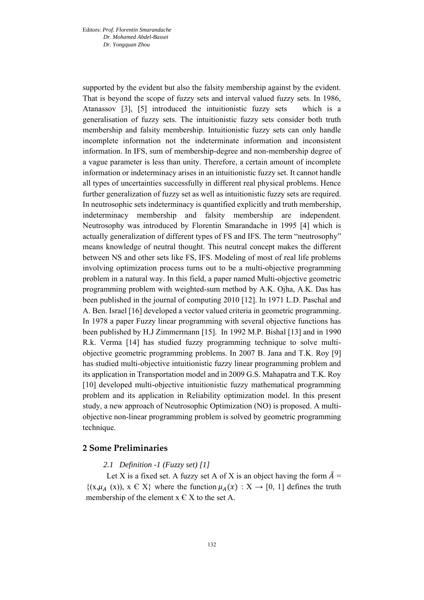supported by the evident but also the falsity membership against by the evident. That is beyond the scope of fuzzy sets and interval valued fuzzy sets. In 1986, Atanassov [3], [5] introduced the intuitionistic fuzzy sets which is a generalisation of fuzzy sets. The intuitionistic fuzzy sets consider both truth membership and falsity membership. Intuitionistic fuzzy sets can only handle incomplete information not the indeterminate information and inconsistent information. In IFS, sum of membership-degree and non-membership degree of a vague parameter is less than unity. Therefore, a certain amount of incomplete information or indeterminacy arises in an intuitionistic fuzzy set. It cannot handle all types of uncertainties successfully in different real physical problems. Hence further generalization of fuzzy set as well as intuitionistic fuzzy sets are required. In neutrosophic sets indeterminacy is quantified explicitly and truth membership, indeterminacy membership and falsity membership are independent. Neutrosophy was introduced by Florentin Smarandache in 1995 [4] which is actually generalization of different types of FS and IFS. The term "neutrosophy" means knowledge of neutral thought. This neutral concept makes the different between NS and other sets like FS, IFS. Modeling of most of real life problems involving optimization process turns out to be a multi-objective programming problem in a natural way. In this field, a paper named Multi-objective geometric programming problem with weighted-sum method by A.K. Ojha, A.K. Das has been published in the journal of computing 2010 [12]. In 1971 L.D. Paschal and A. Ben. Israel [16] developed a vector valued criteria in geometric programming. In 1978 a paper Fuzzy linear programming with several objective functions has been published by H.J Zimmermann [15]. In 1992 M.P. Bishal [13] and in 1990 R.k. Verma [14] has studied fuzzy programming technique to solve multiobjective geometric programming problems. In 2007 B. Jana and T.K. Roy [9] has studied multi-objective intuitionistic fuzzy linear programming problem and its application in Transportation model and in 2009 G.S. Mahapatra and T.K. Roy [10] developed multi-objective intuitionistic fuzzy mathematical programming problem and its application in Reliability optimization model. In this present study, a new approach of Neutrosophic Optimization (NO) is proposed. A multiobjective non-linear programming problem is solved by geometric programming technique.

### **2 Some Preliminaries**

# *2.1 Definition -1 (Fuzzy set) [1]*

Let X is a fixed set. A fuzzy set A of X is an object having the form  $\tilde{A} =$  $\{(x,\mu_A(x)), x \in X\}$  where the function  $\mu_A(x) : X \to [0, 1]$  defines the truth membership of the element  $x \in X$  to the set A.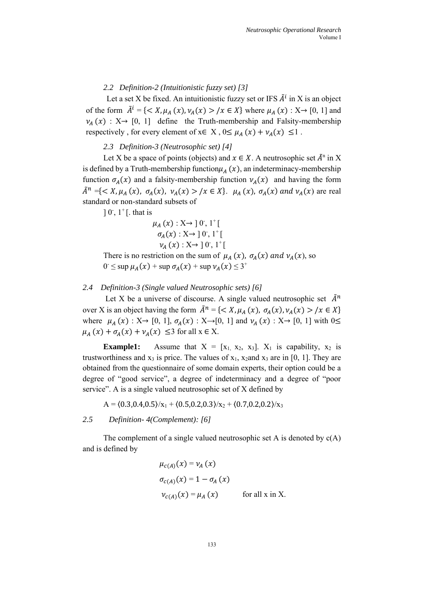*2.2 Definition-2 (Intuitionistic fuzzy set) [3]*

Let a set X be fixed. An intuitionistic fuzzy set or IFS  $\tilde{A}^i$  in X is an object of the form  $\tilde{A}^i = \{ \langle X, \mu_A(x), \nu_A(x) \rangle | x \in X \}$  where  $\mu_A(x) : X \to [0, 1]$  and  $v_A(x)$  :  $X \rightarrow [0, 1]$  define the Truth-membership and Falsity-membership respectively, for every element of  $x \in X$ ,  $0 \le \mu_A(x) + \nu_A(x) \le 1$ .

*2.3 Definition-3 (Neutrosophic set) [4]*

Let X be a space of points (objects) and  $x \in X$ . A neutrosophic set  $\tilde{A}^n$  in X is defined by a Truth-membership function  $\mu_A(x)$ , an indeterminacy-membership function  $\sigma_A(x)$  and a falsity-membership function  $\nu_A(x)$  and having the form  $\tilde{A}^n = \{ \langle X, \mu_A(x), \sigma_A(x), \nu_A(x) \rangle / x \in X \}.$   $\mu_A(x), \sigma_A(x)$  and  $\nu_A(x)$  are real standard or non-standard subsets of

 $\left[0, 1\right]$ <sup>+</sup> $\left[$ . that is

$$
\mu_A(x) : X \to ]0, 1^+[
$$
  
\n
$$
\sigma_A(x) : X \to ]0, 1^+[
$$
  
\n
$$
\nu_A(x) : X \to ]0, 1^+[
$$

There is no restriction on the sum of  $\mu_A(x)$ ,  $\sigma_A(x)$  and  $\nu_A(x)$ , so  $0 \le \sup \mu_A(x) + \sup \sigma_A(x) + \sup \nu_A(x) \le 3^+$ 

#### *2.4 Definition-3 (Single valued Neutrosophic sets) [6]*

Let X be a universe of discourse. A single valued neutrosophic set  $\tilde{A}^n$ over X is an object having the form  $\tilde{A}^n = \{ \langle X, \mu_A(x), \sigma_A(x), \nu_A(x) \rangle / x \in X \}$ where  $\mu_A(x) : X \rightarrow [0, 1], \sigma_A(x) : X \rightarrow [0, 1]$  and  $\nu_A(x) : X \rightarrow [0, 1]$  with  $0 \le$  $\mu_A(x) + \sigma_A(x) + \nu_A(x) \leq 3$  for all  $x \in X$ .

**Example1:** Assume that  $X = [x_1, x_2, x_3]$ .  $X_1$  is capability,  $x_2$  is trustworthiness and  $x_3$  is price. The values of  $x_1$ ,  $x_2$  and  $x_3$  are in [0, 1]. They are obtained from the questionnaire of some domain experts, their option could be a degree of "good service", a degree of indeterminacy and a degree of "poor service". A is a single valued neutrosophic set of X defined by

 $A = \langle 0.3, 0.4, 0.5 \rangle / x_1 + \langle 0.5, 0.2, 0.3 \rangle / x_2 + \langle 0.7, 0.2, 0.2 \rangle / x_3$ 

*2.5 Definition- 4(Complement): [6]* 

The complement of a single valued neutrosophic set A is denoted by  $c(A)$ and is defined by

$$
\mu_{c(A)}(x) = v_A(x)
$$
  
\n
$$
\sigma_{c(A)}(x) = 1 - \sigma_A(x)
$$
  
\n
$$
v_{c(A)}(x) = \mu_A(x) \qquad \text{for all } x \text{ in } X.
$$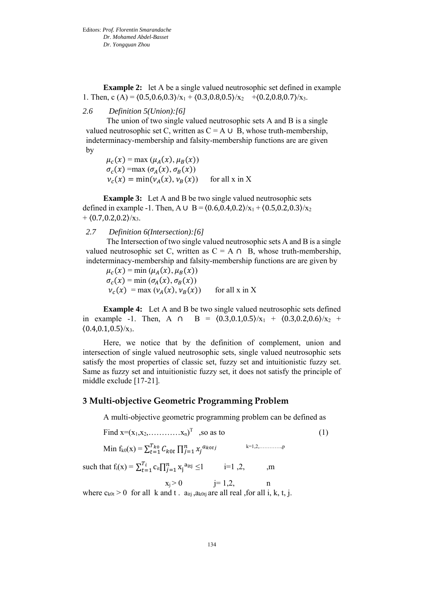**Example 2:** let A be a single valued neutrosophic set defined in example 1. Then, c (A) =  $(0.5, 0.6, 0.3)/x_1 + (0.3, 0.8, 0.5)/x_2 + (0.2, 0.8, 0.7)/x_3$ .

# *2.6 Definition 5(Union):[6]*

The union of two single valued neutrosophic sets A and B is a single valued neutrosophic set C, written as  $C = A \cup B$ , whose truth-membership, indeterminacy-membership and falsity-membership functions are are given by

 $\mu_c(x) = \max (\mu_A(x), \mu_B(x))$  $\sigma_c(x)$  =max  $(\sigma_A(x), \sigma_B(x))$  $v_c(x) = \min(v_A(x), v_B(x))$  for all x in X

**Example 3:** Let A and B be two single valued neutrosophic sets defined in example -1. Then, A ∪ B =  $(0.6, 0.4, 0.2)/x_1 + (0.5, 0.2, 0.3)/x_2$  $+$   $(0.7, 0.2, 0.2)/x_3$ .

## *2.7 Definition 6(Intersection):[6]*

The Intersection of two single valued neutrosophic sets A and B is a single valued neutrosophic set C, written as  $C = A \cap B$ , whose truth-membership, indeterminacy-membership and falsity-membership functions are are given by

 $\mu_c(x) = \min (\mu_A(x), \mu_B(x))$  $\sigma_c(x) = \min(\sigma_A(x), \sigma_B(x))$  $v_c(x) = \max(v_A)$ for all  $x$  in  $X$ 

**Example 4:** Let A and B be two single valued neutrosophic sets defined in example -1. Then, A ∩ B =  $(0.3,0.1,0.5)/x_1 + (0.3,0.2,0.6)/x_2$  +  $(0.4, 0.1, 0.5)/x_3$ .

Here, we notice that by the definition of complement, union and intersection of single valued neutrosophic sets, single valued neutrosophic sets satisfy the most properties of classic set, fuzzy set and intuitionistic fuzzy set. Same as fuzzy set and intuitionistic fuzzy set, it does not satisfy the principle of middle exclude [17-21].

# **3 Multi-objective Geometric Programming Problem**

A multi-objective geometric programming problem can be defined as

| Find $x=(x_1, x_2, \dots, x_n)^T$ , so as to                                              |                         | (1) |
|-------------------------------------------------------------------------------------------|-------------------------|-----|
| Min f <sub>k0</sub> (x) = $\sum_{t=1}^{T_{k0}} C_{k0t} \prod_{i=1}^{n} x_i^{a_{k0tj}}$    | $k=1,2,\ldots,\ldots,n$ |     |
| such that $f_i(x) = \sum_{t=1}^{T_i} c_{it} \prod_{i=1}^{n} x_i^{a_{itj}} \le 1$ $i=1,2,$ | .m                      |     |

 $x_j > 0$  j= 1,2, n where  $c_{k0t} > 0$  for all k and t.  $a_{itj}$ ,  $a_{k0ti}$  are all real, for all i, k, t, j.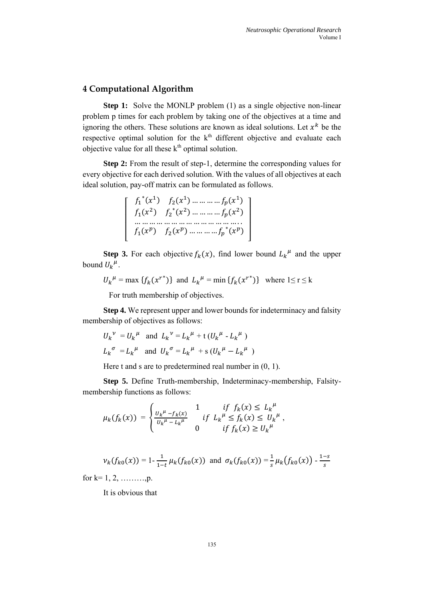# **4 Computational Algorithm**

**Step 1:** Solve the MONLP problem (1) as a single objective non-linear problem p times for each problem by taking one of the objectives at a time and ignoring the others. These solutions are known as ideal solutions. Let  $x^k$  be the respective optimal solution for the  $k<sup>th</sup>$  different objective and evaluate each objective value for all these  $k<sup>th</sup>$  optimal solution.

**Step 2:** From the result of step-1, determine the corresponding values for every objective for each derived solution. With the values of all objectives at each ideal solution, pay-off matrix can be formulated as follows.

$$
\begin{bmatrix}\nf_1^*(x^1) & f_2(x^1) & \dots & f_p(x^1) \\
f_1(x^2) & f_2^*(x^2) & \dots & f_p(x^2) \\
\dots & \dots & \dots & \dots & \dots \\
f_1(x^p) & f_2(x^p) & \dots & f_p^*(x^p)\n\end{bmatrix}
$$

**Step 3.** For each objective  $f_k(x)$ , find lower bound  $L_k^{\mu}$  and the upper bound  $U_k^{\mu}$ .

 $U_k^{\mu} = \max \{f_k(x^{r^*})\}$  and  $L_k^{\mu} = \min \{f_k(x^{r^*})\}$  where  $1 \le r \le k$ 

For truth membership of objectives.

**Step 4.** We represent upper and lower bounds for indeterminacy and falsity membership of objectives as follows:

$$
U_k^{\nu} = U_k^{\mu}
$$
 and  $L_k^{\nu} = L_k^{\mu} + t (U_k^{\mu} - L_k^{\mu})$   
 $L_k^{\sigma} = L_k^{\mu}$  and  $U_k^{\sigma} = L_k^{\mu} + s (U_k^{\mu} - L_k^{\mu})$ 

Here t and s are to predetermined real number in  $(0, 1)$ .

**Step 5.** Define Truth-membership, Indeterminacy-membership, Falsitymembership functions as follows:

$$
\mu_k(f_k(x)) = \begin{cases} \frac{U_k^{\mu} - f_k(x)}{U_k^{\mu} - L_k^{\mu}} & \text{if } L_k^{\mu} \le f_k(x) \le U_k^{\mu} \\ 0 & \text{if } f_k(x) \ge U_k^{\mu} \end{cases}
$$

$$
\nu_k(f_{k0}(x)) = 1 - \frac{1}{1-t} \mu_k(f_{k0}(x)) \text{ and } \sigma_k(f_{k0}(x)) = \frac{1}{s} \mu_k(f_{k0}(x)) - \frac{1-s}{s}
$$

for  $k=1, 2, \ldots, p.$ 

It is obvious that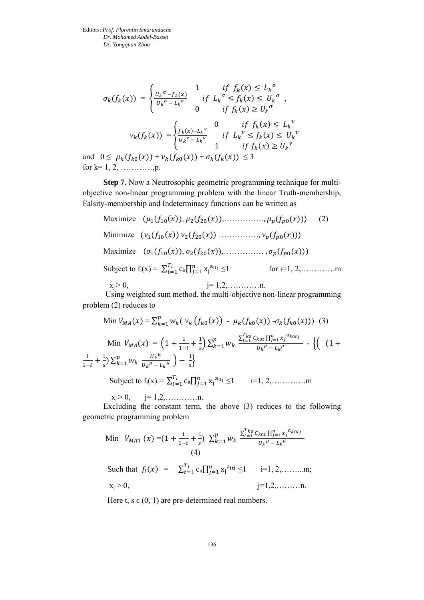$$
\sigma_k(f_k(x)) = \begin{cases}\n\frac{U_k^{\sigma} - f_k(x)}{U_k^{\sigma} - L_k^{\sigma}} & \text{if } L_k^{\sigma} \le f_k(x) \le L_k^{\sigma} \\
0 & \text{if } f_k(x) \ge U_k^{\sigma}\n\end{cases}
$$
\n
$$
\nu_k(f_k(x)) = \begin{cases}\n\frac{f_k(x) - L_k^{\nu}}{U_k^{\nu} - L_k^{\nu}} & \text{if } L_k^{\nu} \le f_k(x) \le U_k^{\nu} \\
0 & \text{if } f_k(x) \le U_k^{\nu}\n\end{cases}
$$
\n
$$
0 \le \mu_k(f_{k}(x)) + \nu_k(f_{k}(x)) + \sigma_k(f_k(x)) \le 3
$$

and  $0 \leq \mu_k(f_{k0}(x)) + \nu_k(f_{k0}(x)) + \sigma_k(f_k(x)) \leq 3$ for  $k=1, 2, \ldots, n.$ 

**Step 7.** Now a Neutrosophic geometric programming technique for multiobjective non-linear programming problem with the linear Truth-membership, Falsity-membership and Indeterminacy functions can be written as

Maximize  $(\mu_1(f_{10}(x)), \mu_2(f_{20}(x)), \dots, \dots, \mu_p(f_{p0}(x)))$  (2) Minimize  $(\nu_1(f_{10}(x)) \nu_2(f_{20}(x)) \dots \dots \dots \dots \nu_n(f_{n0}(x)))$ Maximize  $(\sigma_1(f_{10}(x)), \sigma_2(f_{20}(x)), \ldots, \ldots, \sigma_p(f_{p0}(x)))$ Subject to  $f_i(x) = \sum_{t=1}^{T_i} c_{it} \prod_{j=1}^{n} x_j$ for i=1, 2,…………..m  $x_i > 0$ ,  $i = 1, 2, \ldots, n$ .

Using weighted sum method, the multi-objective non-linear programming problem (2) reduces to

Min 
$$
V_{MA}(x) = \sum_{k=1}^{p} w_k (v_k (f_{k0}(x)) - \mu_k (f_{k0}(x)) - \sigma_k (f_{k0}(x)))
$$
 (3)  
\nMin  $V_{MA}(x) = \left(1 + \frac{1}{1-t} + \frac{1}{s}\right) \sum_{k=1}^{p} w_k \frac{\sum_{t=1}^{T_{k0}} c_{k0t} \prod_{j=1}^{n} x_j^{a_{k0tj}}}{v_k^{\mu} - L_k^{\mu}} - \left\{ \left( (1 + \frac{1}{1-t} + \frac{1}{s}) \sum_{k=1}^{p} w_k \frac{v_k^{\mu}}{v_k^{\mu} - L_k^{\mu}} \right) - \frac{1}{s} \right\}$   
\nSubject to  $f_i(x) = \sum_{t=1}^{T_i} c_{it} \prod_{j=1}^{n} x_j^{a_{itj}} \le 1$   $i=1, 2, .........$ 

 $x_i > 0$ ,  $j = 1, 2, \ldots, n$ .

Excluding the constant term, the above (3) reduces to the following geometric programming problem

Min 
$$
V_{MA1}(x) = (1 + \frac{1}{1-t} + \frac{1}{s}) \sum_{k=1}^{p} w_k \frac{\sum_{t=1}^{T_{ko}} c_{kot} \prod_{j=1}^{n} x_j^{a_{kotj}}}{U_k^{\mu} - L_k^{\mu}}
$$
  
\n(4)  
\nSuch that  $f_i(x) = \sum_{t=1}^{T_i} c_{it} \prod_{j=1}^{n} x_j^{a_{itj}} \le 1$   $i=1, 2, .........m;\n $x_i > 0$ ,  $i=1, 2, .........n$ .$ 

Here t,  $s \in (0, 1)$  are pre-determined real numbers.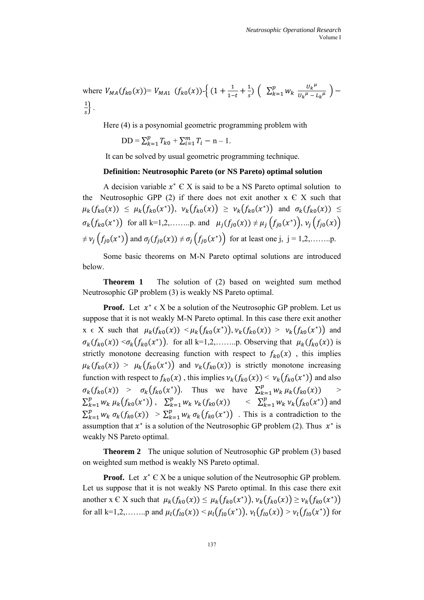where  $V_{MA}(f_{k0}(x))=V_{MA1}(f_{k0}(x))\cdot\Big{(}\frac{1}{1-\frac{1}{1-\frac{1}{1-\frac{1}{1-\frac{1}{1-\frac{1}{1-\frac{1}{1-\frac{1}{1-\frac{1}{1-\frac{1}{1-\frac{1}{1-\frac{1}{1-\frac{1}{1-\frac{1}{1-\frac{1}{1-\frac{1}{1-\frac{1}{1-\frac{1}{1-\frac{1}{1-\frac{1}{1-\frac{1}{1-\frac{1}{1-\frac{1}{1-\frac{1}{1-\frac{1}{1-\frac{1}{\frac{1}{\sqrt{1-\frac{1}{1-\frac{1}{\sqrt{1-\frac{1}{1$  $\frac{1}{1-t} + \frac{1}{s}$  $\frac{1}{s}$ )  $\left( \sum_{k=1}^{p} w_k \frac{U_k^{\mu}}{U_k^{\mu} - I} \right)$  $\frac{p}{k=1} W_k \frac{U_k^{\mu}}{U_k^{\mu} - L_k^{\mu}}$  $\frac{\mu}{k}$  = 1  $W_k \frac{\sigma_k}{U_k \mu - L_k \mu}$  ) – 1  $\frac{1}{s}$ .

Here (4) is a posynomial geometric programming problem with

 $DD = \sum_{k=1}^{p} T_{k0}$  $_{k=1}^{p}T_{k0}+\sum_{i=1}^{m}T_{i}-n-1.$ 

It can be solved by usual geometric programming technique.

#### **Definition: Neutrosophic Pareto (or NS Pareto) optimal solution**

A decision variable  $x^* \in X$  is said to be a NS Pareto optimal solution to the Neutrosophic GPP (2) if there does not exit another  $x \in X$  such that  $\mu_k(f_{k0}(x)) \leq \mu_k(f_{k0}(x^*)), \nu_k(f_{k0}(x)) \geq \nu_k(f_{k0}(x^*))$  and  $\sigma_k(f_{k0}(x)) \leq$  $\sigma_k(f_{k0}(x^*))$  for all k=1,2,........p. and  $\mu_j(f_{j0}(x)) \neq \mu_j(f_{j0}(x^*))$ ,  $\nu_j(f_{j0}(x))$ ≠ (0 ( ∗ )) and (0()) ≠ (0 ( ∗ )) for at least one j, j = 1,2,……..p.

Some basic theorems on M-N Pareto optimal solutions are introduced below.

**Theorem 1** The solution of (2) based on weighted sum method Neutrosophic GP problem (3) is weakly NS Pareto optimal.

**Proof.** Let  $x^* \in X$  be a solution of the Neutrosophic GP problem. Let us suppose that it is not weakly M-N Pareto optimal. In this case there exit another  $x \in X$  such that  $\mu_k(f_{k0}(x)) \leq \mu_k(f_{k0}(x^*))$ ,  $\nu_k(f_{k0}(x)) \geq \nu_k(f_{k0}(x^*))$  and  $\sigma_k(f_{k0}(x)) < \sigma_k(f_{k0}(x^*))$ . for all k=1,2,........p. Observing that  $\mu_k(f_{k0}(x))$  is strictly monotone decreasing function with respect to  $f_{k0}(x)$ , this implies  $\mu_k(f_{k0}(x)) > \mu_k(f_{k0}(x^*))$  and  $\nu_k(f_{k0}(x))$  is strictly monotone increasing function with respect to  $f_{k0}(x)$ , this implies  $v_k(f_{k0}(x)) < v_k(f_{k0}(x^*))$  and also  $\sigma_k(f_{k0}(x)) > \sigma_k(f_{k0}(x^*))$ . Thus we have  $\sum_{k=1}^p w_k \mu_k(f_{k0}(x))$  $k=1$  $>$  $\sum_{k=1}^{p} w_k \mu_k(f_{k0}(x^*))$  $_{k=1}^p w_k \mu_k(f_{k0}(x^*))$ ,  $\sum_{k=1}^p w_k \nu_k(f_{k0}(x))$  $_{k=1}^p w_k v_k(f_{k0}(x)) \leq \sum_{k=1}^p w_k v_k(f_{k0}(x^*))$  $_{k=1}^{p} w_k v_k(f_{k0}(x^*))$  and  $\sum_{k=1}^{p} w_k \sigma_k(f_{k0}(x))$  $_{k=1}^{p} w_k \sigma_k(f_{k0}(x)) > \sum_{k=1}^{p} w_k \sigma_k(f_{k0}(x^*))$  $_{k=1}^{p} w_k \sigma_k(f_{k0}(x^*))$ . This is a contradiction to the assumption that  $x^*$  is a solution of the Neutrosophic GP problem (2). Thus  $x^*$  is weakly NS Pareto optimal.

**Theorem 2** The unique solution of Neutrosophic GP problem (3) based on weighted sum method is weakly NS Pareto optimal.

**Proof.** Let  $x^* \in X$  be a unique solution of the Neutrosophic GP problem. Let us suppose that it is not weakly NS Pareto optimal. In this case there exit another x C X such that  $\mu_k(f_{k0}(x)) \leq \mu_k(f_{k0}(x^*))$ ,  $\nu_k(f_{k0}(x)) \geq \nu_k(f_{k0}(x^*))$ for all k=1,2,........p and  $\mu_l(f_{l0}(x)) < \mu_l(f_{l0}(x^*))$ ,  $\nu_l(f_{l0}(x)) > \nu_l(f_{l0}(x^*))$  for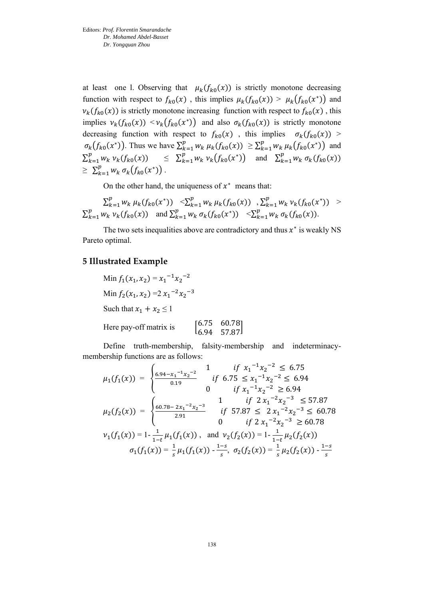at least one l. Observing that  $\mu_k(f_{k0}(x))$  is strictly monotone decreasing function with respect to  $f_{k0}(x)$ , this implies  $\mu_k(f_{k0}(x)) > \mu_k(f_{k0}(x^*))$  and  $v_k(f_{k0}(x))$  is strictly monotone increasing function with respect to  $f_{k0}(x)$ , this implies  $\nu_k(f_{k0}(x)) \leq \nu_k(f_{k0}(x^*))$  and also  $\sigma_k(f_{k0}(x))$  is strictly monotone decreasing function with respect to  $f_{k0}(x)$ , this implies  $\sigma_k(f_{k0}(x))$  >  $\sigma_k(f_{k0}(x^*))$ . Thus we have  $\sum_{k=1}^p w_k \mu_k(f_{k0}(x))$  $_{k=1}^p w_k \mu_k(f_{k0}(x)) \geq \sum_{k=1}^p w_k \mu_k(f_{k0}(x^*))$  $_{k=1}^{p} w_k \mu_k(f_{k0}(x^*))$  and  $\sum_{k=1}^{p} w_k v_k(f_{k0}(x))$  $_{k=1}^p w_k v_k(f_{k0}(x)) \leq \sum_{k=1}^p w_k v_k(f_{k0}(x^*))$  $_{k=1}^{p} w_k v_k(f_{k0}(x^*))$  and  $\sum_{k=1}^{p} w_k \sigma_k(f_{k0}(x))$  $_{k=1}^{p} w_k \sigma_k(f_{k0}(x))$  $\geq \sum_{k=1}^{p} w_k \sigma_k(f_{k0}(x^*))$  $_{k=1}^{P} w_k \sigma_k(f_{k0}(x^*))$ .

On the other hand, the uniqueness of  $x^*$  means that:

$$
\sum_{k=1}^p w_k \mu_k(f_{k0}(x^*)) \leq \sum_{k=1}^p w_k \mu_k(f_{k0}(x)) \sum_{k=1}^p w_k \nu_k(f_{k0}(x^*)) > \n\sum_{k=1}^p w_k \nu_k(f_{k0}(x)) \text{ and } \sum_{k=1}^p w_k \sigma_k(f_{k0}(x^*)) \leq \sum_{k=1}^p w_k \sigma_k(f_{k0}(x)).
$$

The two sets inequalities above are contradictory and thus  $x^*$  is weakly NS Pareto optimal.

#### **5 Illustrated Example**

Min 
$$
f_1(x_1, x_2) = x_1^{-1}x_2^{-2}
$$
  
\nMin  $f_2(x_1, x_2) = 2x_1^{-2}x_2^{-3}$   
\nSuch that  $x_1 + x_2 \le 1$   
\nHere pay-off matrix is\n
$$
\begin{bmatrix}\n6.75 & 60.78 \\
6.94 & 57.87\n\end{bmatrix}
$$

Define truth-membership, falsity-membership and indeterminacymembership functions are as follows:

$$
\mu_1(f_1(x)) = \begin{cases}\n\frac{6.94 - x_1^{-1}x_2^{-2}}{0.19} & \text{if } x_1^{-1}x_2^{-2} \le 6.75 \\
0 & \text{if } x_1^{-1}x_2^{-2} \ge 6.94\n\end{cases}
$$
\n
$$
\mu_2(f_2(x)) = \begin{cases}\n\frac{60.78 - 2x_1^{-2}x_2^{-3}}{2.91} & \text{if } 57.87 \le 2x_1^{-2}x_2^{-3} \le 57.87 \\
0 & \text{if } 2x_1^{-2}x_2^{-3} \le 60.78\n\end{cases}
$$
\n
$$
\nu_1(f_1(x)) = 1 - \frac{1}{1-t} \mu_1(f_1(x)), \text{ and } \nu_2(f_2(x)) = 1 - \frac{1}{1-t} \mu_2(f_2(x))
$$
\n
$$
\sigma_1(f_1(x)) = \frac{1}{s} \mu_1(f_1(x)) - \frac{1-s}{s}, \sigma_2(f_2(x)) = \frac{1}{s} \mu_2(f_2(x)) - \frac{1-s}{s}
$$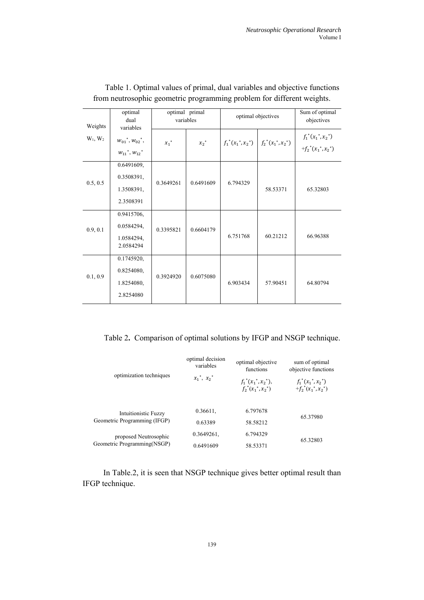| Weights    | optimal<br>dual<br>variables                                                                     | optimal primal<br>variables |                    | optimal objectives    |                       | Sum of optimal<br>objectives                   |
|------------|--------------------------------------------------------------------------------------------------|-----------------------------|--------------------|-----------------------|-----------------------|------------------------------------------------|
| $W_1, W_2$ | $W_{01}$ <sup>*</sup> , $W_{02}$ <sup>*</sup> ,<br>$W_{11}$ <sup>*</sup> , $W_{12}$ <sup>*</sup> | $x_1$ <sup>*</sup>          | $x_2$ <sup>*</sup> | $f_1^*(x_1^*, x_2^*)$ | $f_2^*(x_1^*, x_2^*)$ | $f_1^*(x_1^*, x_2^*)$<br>$+f_2^*(x_1^*,x_2^*)$ |
| 0.5, 0.5   | 0.6491609,<br>0.3508391,<br>1.3508391,<br>2.3508391                                              | 0.3649261                   | 0.6491609          | 6.794329              | 58.53371              | 65.32803                                       |
| 0.9, 0.1   | 0.9415706,<br>0.0584294,<br>1.0584294,<br>2.0584294                                              | 0.3395821                   | 0.6604179          | 6.751768              | 60.21212              | 66.96388                                       |
| 0.1, 0.9   | 0.1745920,<br>0.8254080,<br>1.8254080,<br>2.8254080                                              | 0.3924920                   | 0.6075080          | 6.903434              | 57.90451              | 64.80794                                       |

# Table 1. Optimal values of primal, dual variables and objective functions from neutrosophic geometric programming problem for different weights.

Table 2**.** Comparison of optimal solutions by IFGP and NSGP technique.

| optimization techniques                              | optimal decision<br>variables           | optimal objective<br>functions                  | sum of optimal<br>objective functions           |  |
|------------------------------------------------------|-----------------------------------------|-------------------------------------------------|-------------------------------------------------|--|
|                                                      | $x_1$ <sup>*</sup> , $x_2$ <sup>*</sup> | $f_1^*(x_1^*, x_2^*),$<br>$f_2^*(x_1^*, x_2^*)$ | $f_1^*(x_1^*, x_2^*)$<br>$+f_2^*(x_1^*, x_2^*)$ |  |
| <b>Intuitionistic Fuzzy</b>                          | 0.36611.                                | 6.797678                                        | 65.37980                                        |  |
| Geometric Programming (IFGP)                         | 0.63389                                 | 58.58212                                        |                                                 |  |
| proposed Neutrosophic<br>Geometric Programming(NSGP) | 0.3649261.                              | 6.794329                                        |                                                 |  |
|                                                      | 0.6491609                               | 58.53371                                        | 65.32803                                        |  |

In Table.2, it is seen that NSGP technique gives better optimal result than IFGP technique.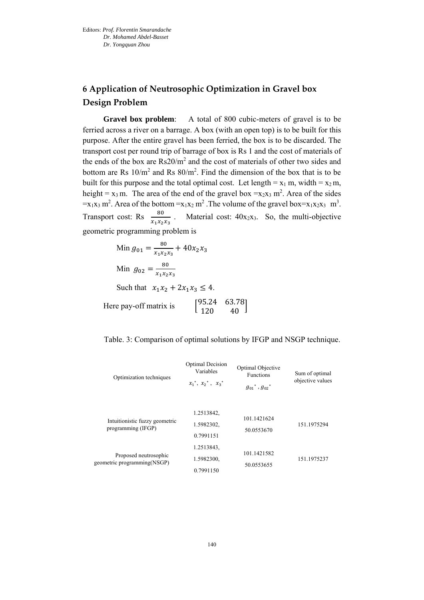# **6 Application of Neutrosophic Optimization in Gravel box Design Problem**

**Gravel box problem**: A total of 800 cubic-meters of gravel is to be ferried across a river on a barrage. A box (with an open top) is to be built for this purpose. After the entire gravel has been ferried, the box is to be discarded. The transport cost per round trip of barrage of box is Rs 1 and the cost of materials of the ends of the box are  $Rs20/m^2$  and the cost of materials of other two sides and bottom are Rs  $10/m^2$  and Rs  $80/m^2$ . Find the dimension of the box that is to be built for this purpose and the total optimal cost. Let length =  $x_1$  m, width =  $x_2$  m, height =  $x_3$  m. The area of the end of the gravel box = $x_2x_3$  m<sup>2</sup>. Area of the sides  $=x_1x_3$  m<sup>2</sup>. Area of the bottom  $=x_1x_2$  m<sup>2</sup>. The volume of the gravel box= $x_1x_2x_3$  m<sup>3</sup>. Transport cost: Rs  $\frac{80}{x_1x_2x_3}$ . Material cost:  $40x_2x_3$ . So, the multi-objective geometric programming problem is

Min 
$$
g_{01} = \frac{80}{x_1 x_2 x_3} + 40x_2 x_3
$$
  
\nMin  $g_{02} = \frac{80}{x_1 x_2 x_3}$   
\nSuch that  $x_1 x_2 + 2x_1 x_3 \le 4$ .  
\nHere pay-off matrix is 
$$
\begin{bmatrix} 95.24 & 63.78 \\ 120 & 40 \end{bmatrix}
$$

Table. 3: Comparison of optimal solutions by IFGP and NSGP technique.

| Optimization techniques                              | Optimal Decision<br>Variables<br>$x_1^*, x_2^*, x_3^*$ | Optimal Objective<br><b>Functions</b><br>${g_{01}}^*$ , ${g_{02}}^*$ | Sum of optimal<br>objective values |
|------------------------------------------------------|--------------------------------------------------------|----------------------------------------------------------------------|------------------------------------|
| Intuitionistic fuzzy geometric<br>programming (IFGP) | 1.2513842,<br>1.5982302,<br>0.7991151                  | 101.1421624<br>50.0553670                                            | 151.1975294                        |
| Proposed neutrosophic<br>geometric programming(NSGP) | 1.2513843.<br>1.5982300.<br>0.7991150                  | 101.1421582<br>50.0553655                                            | 151.1975237                        |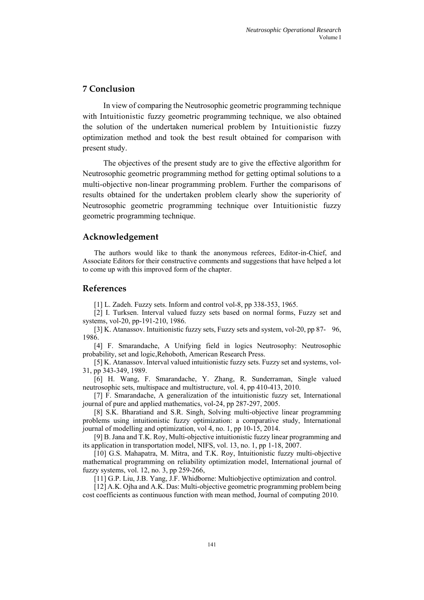# **7 Conclusion**

In view of comparing the Neutrosophic geometric programming technique with Intuitionistic fuzzy geometric programming technique, we also obtained the solution of the undertaken numerical problem by Intuitionistic fuzzy optimization method and took the best result obtained for comparison with present study.

The objectives of the present study are to give the effective algorithm for Neutrosophic geometric programming method for getting optimal solutions to a multi-objective non-linear programming problem. Further the comparisons of results obtained for the undertaken problem clearly show the superiority of Neutrosophic geometric programming technique over Intuitionistic fuzzy geometric programming technique.

### **Acknowledgement**

The authors would like to thank the anonymous referees, Editor-in-Chief, and Associate Editors for their constructive comments and suggestions that have helped a lot to come up with this improved form of the chapter.

#### **References**

[1] L. Zadeh. Fuzzy sets. Inform and control vol-8, pp 338-353, 1965.

[2] I. Turksen. Interval valued fuzzy sets based on normal forms, Fuzzy set and systems, vol-20, pp-191-210, 1986.

[3] K. Atanassov. Intuitionistic fuzzy sets, Fuzzy sets and system, vol-20, pp 87- 96, 1986.

[4] F. Smarandache, A Unifying field in logics Neutrosophy: Neutrosophic probability, set and logic,Rehoboth, American Research Press.

[5] K. Atanassov. Interval valued intuitionistic fuzzy sets. Fuzzy set and systems, vol-31, pp 343-349, 1989.

[6] H. Wang, F. Smarandache, Y. Zhang, R. Sunderraman, Single valued neutrosophic sets, multispace and multistructure, vol. 4, pp 410-413, 2010.

[7] F. Smarandache, A generalization of the intuitionistic fuzzy set, International journal of pure and applied mathematics, vol-24, pp 287-297, 2005.

[8] S.K. Bharatiand and S.R. Singh, Solving multi-objective linear programming problems using intuitionistic fuzzy optimization: a comparative study, International journal of modelling and optimization, vol 4, no. 1, pp 10-15, 2014.

[9] B. Jana and T.K. Roy, Multi-objective intuitionistic fuzzy linear programming and its application in transportation model, NIFS, vol. 13, no. 1, pp 1-18, 2007.

[10] G.S. Mahapatra, M. Mitra, and T.K. Roy, Intuitionistic fuzzy multi-objective mathematical programming on reliability optimization model, International journal of fuzzy systems, vol. 12, no. 3, pp 259-266,

[11] G.P. Liu, J.B. Yang, J.F. Whidborne: Multiobjective optimization and control.

[12] A.K. Ojha and A.K. Das: Multi-objective geometric programming problem being cost coefficients as continuous function with mean method, Journal of computing 2010.